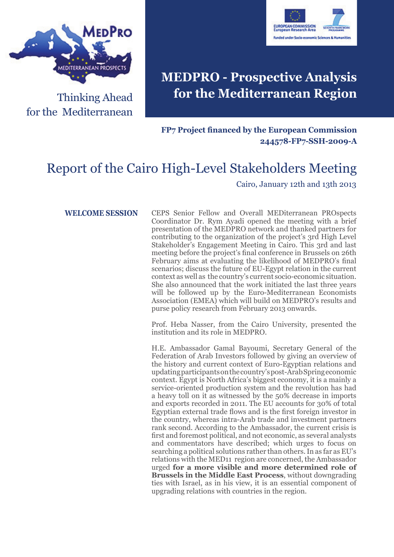



# **MEDPRO - Prospective Analysis for the Mediterranean Region**

#### **FP7 Project financed by the European Commission 244578-FP7-SSH-2009-A**

# Report of the Cairo High-Level Stakeholders Meeting

#### Cairo, January 12th and 13th 2013

**WELCOME SESSION** CEPS Senior Fellow and Overall MEDiterranean PROspects Coordinator Dr. Rym Ayadi opened the meeting with a brief presentation of the MEDPRO network and thanked partners for contributing to the organization of the project's 3rd High Level Stakeholder's Engagement Meeting in Cairo. This 3rd and last meeting before the project's final conference in Brussels on 26th February aims at evaluating the likelihood of MEDPRO's final scenarios; discuss the future of EU-Egypt relation in the current context as well as the country's current socio-economic situation. She also announced that the work initiated the last three years will be followed up by the Euro-Mediterranean Economists Association (EMEA) which will build on MEDPRO's results and purse policy research from February 2013 onwards.

> Prof. Heba Nasser, from the Cairo University, presented the institution and its role in MEDPRO.

> H.E. Ambassador Gamal Bayoumi, Secretary General of the Federation of Arab Investors followed by giving an overview of the history and current context of Euro-Egyptian relations and updating participants on the country's post-Arab Spring economic context. Egypt is North Africa's biggest economy, it is a mainly a service-oriented production system and the revolution has had a heavy toll on it as witnessed by the 50% decrease in imports and exports recorded in 2011. The EU accounts for 30% of total Egyptian external trade flows and is the first foreign investor in the country, whereas intra-Arab trade and investment partners rank second. According to the Ambassador, the current crisis is first and foremost political, and not economic, as several analysts and commentators have described; which urges to focus on searching a political solutions rather than others. In as far as EU's relations with the MED11 region are concerned, the Ambassador urged **for a more visible and more determined role of Brussels in the Middle East Process**, without downgrading ties with Israel, as in his view, it is an essential component of upgrading relations with countries in the region.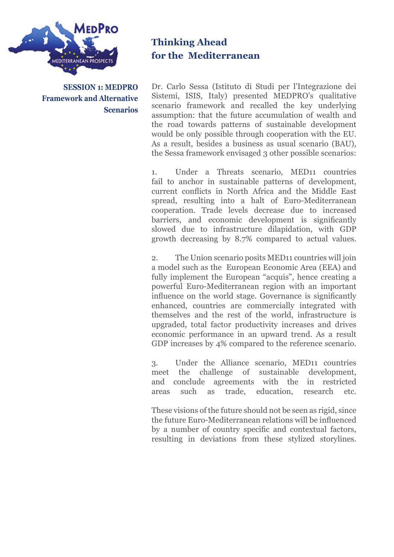

**SESSION 1: MEDPRO Framework and Alternative Scenarios**

## **Thinking Ahead for the Mediterranean**

Dr. Carlo Sessa (Istituto di Studi per l'Integrazione dei Sistemi, ISIS, Italy) presented MEDPRO's qualitative scenario framework and recalled the key underlying assumption: that the future accumulation of wealth and the road towards patterns of sustainable development would be only possible through cooperation with the EU. As a result, besides a business as usual scenario (BAU), the Sessa framework envisaged 3 other possible scenarios:

1. Under a Threats scenario, MED11 countries fail to anchor in sustainable patterns of development, current conflicts in North Africa and the Middle East spread, resulting into a halt of Euro-Mediterranean cooperation. Trade levels decrease due to increased barriers, and economic development is significantly slowed due to infrastructure dilapidation, with GDP growth decreasing by 8.7% compared to actual values.

2. The Union scenario posits MED11 countries will join a model such as the European Economic Area (EEA) and fully implement the European "acquis", hence creating a powerful Euro-Mediterranean region with an important influence on the world stage. Governance is significantly enhanced, countries are commercially integrated with themselves and the rest of the world, infrastructure is upgraded, total factor productivity increases and drives economic performance in an upward trend. As a result GDP increases by 4% compared to the reference scenario.

3. Under the Alliance scenario, MED11 countries meet the challenge of sustainable development, and conclude agreements with the in restricted areas such as trade, education, research etc.

These visions of the future should not be seen as rigid, since the future Euro-Mediterranean relations will be influenced by a number of country specific and contextual factors, resulting in deviations from these stylized storylines.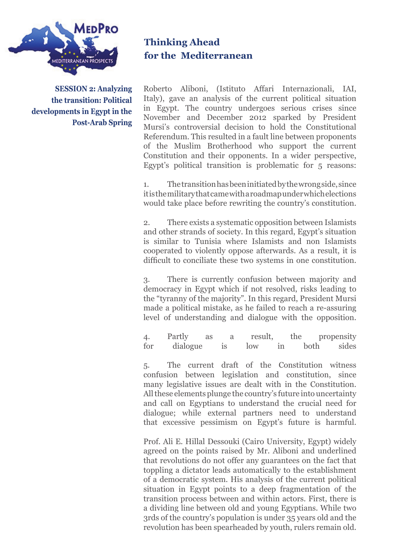

**SESSION 2: Analyzing the transition: Political developments in Egypt in the Post-Arab Spring** **Thinking Ahead for the Mediterranean**

Roberto Aliboni, (Istituto Affari Internazionali, IAI, Italy), gave an analysis of the current political situation in Egypt. The country undergoes serious crises since November and December 2012 sparked by President Mursi's controversial decision to hold the Constitutional Referendum. This resulted in a fault line between proponents of the Muslim Brotherhood who support the current Constitution and their opponents. In a wider perspective, Egypt's political transition is problematic for 5 reasons:

1. The transition has been initiated by the wrong side, since it is the military that came with a roadmap under which elections would take place before rewriting the country's constitution.

2. There exists a systematic opposition between Islamists and other strands of society. In this regard, Egypt's situation is similar to Tunisia where Islamists and non Islamists cooperated to violently oppose afterwards. As a result, it is difficult to conciliate these two systems in one constitution.

3. There is currently confusion between majority and democracy in Egypt which if not resolved, risks leading to the "tyranny of the majority". In this regard, President Mursi made a political mistake, as he failed to reach a re-assuring level of understanding and dialogue with the opposition.

4. Partly as a result, the propensity<br>for dialogue is low in both sides for dialogue is low in both sides

5. The current draft of the Constitution witness confusion between legislation and constitution, since many legislative issues are dealt with in the Constitution. All these elements plunge the country's future into uncertainty and call on Egyptians to understand the crucial need for dialogue; while external partners need to understand that excessive pessimism on Egypt's future is harmful.

Prof. Ali E. Hillal Dessouki (Cairo University, Egypt) widely agreed on the points raised by Mr. Aliboni and underlined that revolutions do not offer any guarantees on the fact that toppling a dictator leads automatically to the establishment of a democratic system. His analysis of the current political situation in Egypt points to a deep fragmentation of the transition process between and within actors. First, there is a dividing line between old and young Egyptians. While two 3rds of the country's population is under 35 years old and the revolution has been spearheaded by youth, rulers remain old.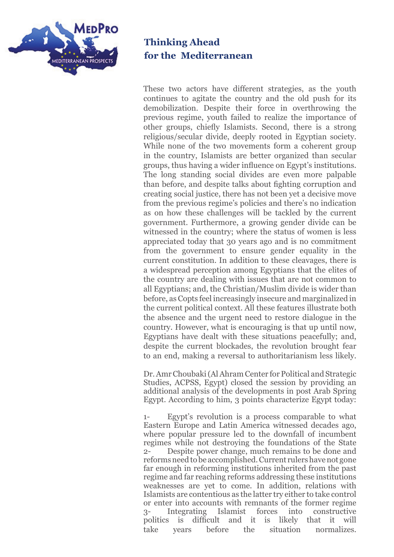

These two actors have different strategies, as the youth continues to agitate the country and the old push for its demobilization. Despite their force in overthrowing the previous regime, youth failed to realize the importance of other groups, chiefly Islamists. Second, there is a strong religious/secular divide, deeply rooted in Egyptian society. While none of the two movements form a coherent group in the country, Islamists are better organized than secular groups, thus having a wider influence on Egypt's institutions. The long standing social divides are even more palpable than before, and despite talks about fighting corruption and creating social justice, there has not been yet a decisive move from the previous regime's policies and there's no indication as on how these challenges will be tackled by the current government. Furthermore, a growing gender divide can be witnessed in the country; where the status of women is less appreciated today that 30 years ago and is no commitment from the government to ensure gender equality in the current constitution. In addition to these cleavages, there is a widespread perception among Egyptians that the elites of the country are dealing with issues that are not common to all Egyptians; and, the Christian/Muslim divide is wider than before, as Copts feel increasingly insecure and marginalized in the current political context. All these features illustrate both the absence and the urgent need to restore dialogue in the country. However, what is encouraging is that up until now, Egyptians have dealt with these situations peacefully; and, despite the current blockades, the revolution brought fear to an end, making a reversal to authoritarianism less likely.

Dr. Amr Choubaki (Al Ahram Center for Political and Strategic Studies, ACPSS, Egypt) closed the session by providing an additional analysis of the developments in post Arab Spring Egypt. According to him, 3 points characterize Egypt today:

1- Egypt's revolution is a process comparable to what Eastern Europe and Latin America witnessed decades ago, where popular pressure led to the downfall of incumbent regimes while not destroying the foundations of the State Despite power change, much remains to be done and reforms need to be accomplished. Current rulers have not gone far enough in reforming institutions inherited from the past regime and far reaching reforms addressing these institutions weaknesses are yet to come. In addition, relations with Islamists are contentious as the latter try either to take control or enter into accounts with remnants of the former regime 3- Integrating Islamist forces into constructive politics is difficult and it is likely that it will take years before the situation normalizes.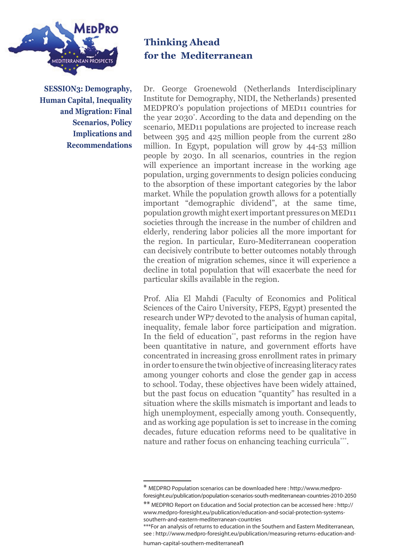

**SESSION3: Demography, Human Capital, Inequality and Migration: Final Scenarios, Policy Implications and Recommendations**

## **Thinking Ahead for the Mediterranean**

Dr. George Groenewold (Netherlands Interdisciplinary Institute for Demography, NIDI, the Netherlands) presented MEDPRO's population projections of MED11 countries for the year 2030\* . According to the data and depending on the scenario, MED11 populations are projected to increase reach between 395 and 425 million people from the current 280 million. In Egypt, population will grow by 44-53 million people by 2030. In all scenarios, countries in the region will experience an important increase in the working age population, urging governments to design policies conducing to the absorption of these important categories by the labor market. While the population growth allows for a potentially important "demographic dividend", at the same time, population growth might exert important pressures on MED11 societies through the increase in the number of children and elderly, rendering labor policies all the more important for the region. In particular, Euro-Mediterranean cooperation can decisively contribute to better outcomes notably through the creation of migration schemes, since it will experience a decline in total population that will exacerbate the need for particular skills available in the region.

Prof. Alia El Mahdi (Faculty of Economics and Political Sciences of the Cairo University, FEPS, Egypt) presented the research under WP7 devoted to the analysis of human capital, inequality, female labor force participation and migration. In the field of education\*\*, past reforms in the region have been quantitative in nature, and government efforts have concentrated in increasing gross enrollment rates in primary in order to ensure the twin objective of increasing literacy rates among younger cohorts and close the gender gap in access to school. Today, these objectives have been widely attained, but the past focus on education "quantity" has resulted in a situation where the skills mismatch is important and leads to high unemployment, especially among youth. Consequently, and as working age population is set to increase in the coming decades, future education reforms need to be qualitative in nature and rather focus on enhancing teaching curricula\*\*\*.

human-capital-southern-mediterranean

<sup>\*</sup> MEDPRO Population scenarios can be downloaded here : http://www.medproforesight.eu/publication/population-scenarios-south-mediterranean-countries-2010-2050

<sup>\*\*</sup> MEDPRO Report on Education and Social protection can be accessed here : http:// www.medpro-foresight.eu/publication/education-and-social-protection-systemssouthern-and-eastern-mediterranean-countries

<sup>\*\*\*</sup>For an analysis of returns to education in the Southern and Eastern Mediterranean, see : http://www.medpro-foresight.eu/publication/measuring-returns-education-and-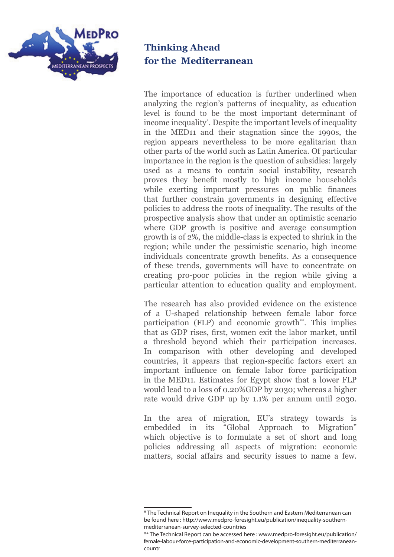

The importance of education is further underlined when analyzing the region's patterns of inequality, as education level is found to be the most important determinant of income inequality\* . Despite the important levels of inequality in the MED11 and their stagnation since the 1990s, the region appears nevertheless to be more egalitarian than other parts of the world such as Latin America. Of particular importance in the region is the question of subsidies: largely used as a means to contain social instability, research proves they benefit mostly to high income households while exerting important pressures on public finances that further constrain governments in designing effective policies to address the roots of inequality. The results of the prospective analysis show that under an optimistic scenario where GDP growth is positive and average consumption growth is of 2%, the middle-class is expected to shrink in the region; while under the pessimistic scenario, high income individuals concentrate growth benefits. As a consequence of these trends, governments will have to concentrate on creating pro-poor policies in the region while giving a particular attention to education quality and employment.

The research has also provided evidence on the existence of a U-shaped relationship between female labor force participation (FLP) and economic growth\*\*. This implies that as GDP rises, first, women exit the labor market, until a threshold beyond which their participation increases. In comparison with other developing and developed countries, it appears that region-specific factors exert an important influence on female labor force participation in the MED11. Estimates for Egypt show that a lower FLP would lead to a loss of 0.20%GDP by 2030; whereas a higher rate would drive GDP up by 1.1% per annum until 2030.

In the area of migration, EU's strategy towards is embedded in its "Global Approach to Migration" which objective is to formulate a set of short and long policies addressing all aspects of migration: economic matters, social affairs and security issues to name a few.

<sup>\*</sup> The Technical Report on Inequality in the Southern and Eastern Mediterranean can be found here : http://www.medpro-foresight.eu/publication/inequality-southernmediterranean-survey-selected-countries

<sup>\*\*</sup> The Technical Report can be accessed here : www.medpro-foresight.eu/publication/ female-labour-force-participation-and-economic-development-southern-mediterraneancountr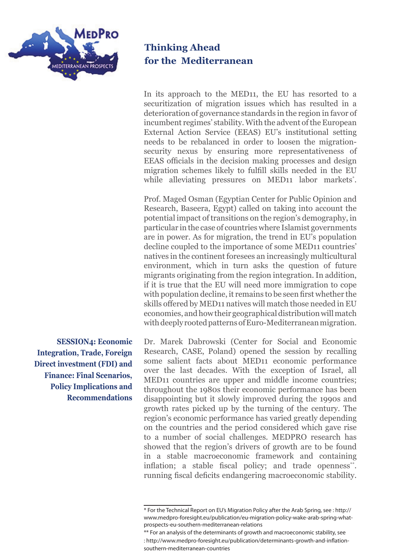

In its approach to the MED11, the EU has resorted to a securitization of migration issues which has resulted in a deterioration of governance standards in the region in favor of incumbent regimes' stability. With the advent of the European External Action Service (EEAS) EU's institutional setting needs to be rebalanced in order to loosen the migrationsecurity nexus by ensuring more representativeness of EEAS officials in the decision making processes and design migration schemes likely to fulfill skills needed in the EU while alleviating pressures on MED11 labor markets\* .

Prof. Maged Osman (Egyptian Center for Public Opinion and Research, Baseera, Egypt) called on taking into account the potential impact of transitions on the region's demography, in particular in the case of countries where Islamist governments are in power. As for migration, the trend in EU's population decline coupled to the importance of some MED11 countries' natives in the continent foresees an increasingly multicultural environment, which in turn asks the question of future migrants originating from the region integration. In addition, if it is true that the EU will need more immigration to cope with population decline, it remains to be seen first whether the skills offered by MED11 natives will match those needed in EU economies, and how their geographical distribution will match with deeply rooted patterns of Euro-Mediterranean migration.

Dr. Marek Dabrowski (Center for Social and Economic Research, CASE, Poland) opened the session by recalling some salient facts about MED11 economic performance over the last decades. With the exception of Israel, all MED11 countries are upper and middle income countries; throughout the 1980s their economic performance has been disappointing but it slowly improved during the 1990s and growth rates picked up by the turning of the century. The region's economic performance has varied greatly depending on the countries and the period considered which gave rise to a number of social challenges. MEDPRO research has showed that the region's drivers of growth are to be found in a stable macroeconomic framework and containing inflation; a stable fiscal policy; and trade openness<sup>\*\*</sup>. running fiscal deficits endangering macroeconomic stability.

**SESSION4: Economic Integration, Trade, Foreign Direct investment (FDI) and Finance: Final Scenarios, Policy Implications and Recommendations**

<sup>\*</sup> For the Technical Report on EU's Migration Policy after the Arab Spring, see : http:// www.medpro-foresight.eu/publication/eu-migration-policy-wake-arab-spring-whatprospects-eu-southern-mediterranean-relations

<sup>\*\*</sup> For an analysis of the determinants of growth and macroeconomic stability, see : http://www.medpro-foresight.eu/publication/determinants-growth-and-inflationsouthern-mediterranean-countries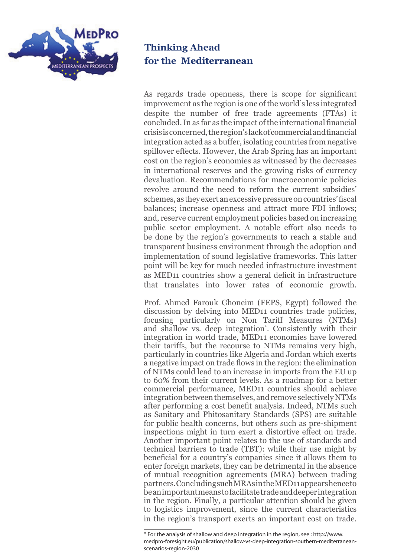

As regards trade openness, there is scope for significant improvement as the region is one of the world's less integrated despite the number of free trade agreements (FTAs) it concluded. In as far as the impact of the international financial crisis is concerned, the region's lack of commercial and financial integration acted as a buffer, isolating countries from negative spillover effects. However, the Arab Spring has an important cost on the region's economies as witnessed by the decreases in international reserves and the growing risks of currency devaluation. Recommendations for macroeconomic policies revolve around the need to reform the current subsidies' schemes, as they exert an excessive pressure on countries' fiscal balances; increase openness and attract more FDI inflows; and, reserve current employment policies based on increasing public sector employment. A notable effort also needs to be done by the region's governments to reach a stable and transparent business environment through the adoption and implementation of sound legislative frameworks. This latter point will be key for much needed infrastructure investment as MED11 countries show a general deficit in infrastructure that translates into lower rates of economic growth.

Prof. Ahmed Farouk Ghoneim (FEPS, Egypt) followed the discussion by delving into MED11 countries trade policies, focusing particularly on Non Tariff Measures (NTMs) and shallow vs. deep integration\* . Consistently with their integration in world trade, MED11 economies have lowered their tariffs, but the recourse to NTMs remains very high, particularly in countries like Algeria and Jordan which exerts a negative impact on trade flows in the region: the elimination of NTMs could lead to an increase in imports from the EU up to 60% from their current levels. As a roadmap for a better commercial performance, MED11 countries should achieve integration between themselves, and remove selectively NTMs after performing a cost benefit analysis. Indeed, NTMs such as Sanitary and Phitosanitary Standards (SPS) are suitable for public health concerns, but others such as pre-shipment inspections might in turn exert a distortive effect on trade. Another important point relates to the use of standards and technical barriers to trade (TBT): while their use might by beneficial for a country's companies since it allows them to enter foreign markets, they can be detrimental in the absence of mutual recognition agreements (MRA) between trading partners. Concluding such MRAs in the MED11 appears hence to be an important means to facilitate trade and deeper integration in the region. Finally, a particular attention should be given to logistics improvement, since the current characteristics in the region's transport exerts an important cost on trade.

<sup>\*</sup> For the analysis of shallow and deep integration in the region, see : http://www. medpro-foresight.eu/publication/shallow-vs-deep-integration-southern-mediterraneanscenarios-region-2030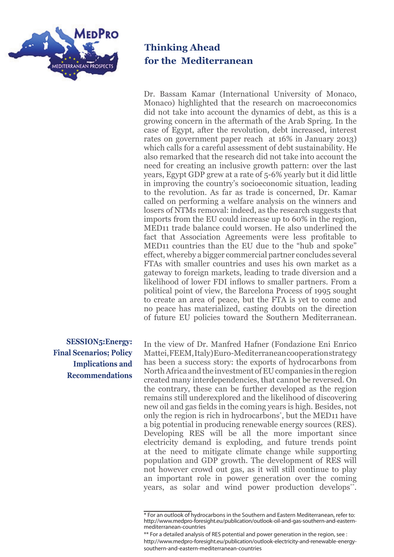

Dr. Bassam Kamar (International University of Monaco, Monaco) highlighted that the research on macroeconomics did not take into account the dynamics of debt, as this is a growing concern in the aftermath of the Arab Spring. In the case of Egypt, after the revolution, debt increased, interest rates on government paper reach at 16% in January 2013) which calls for a careful assessment of debt sustainability. He also remarked that the research did not take into account the need for creating an inclusive growth pattern: over the last years, Egypt GDP grew at a rate of 5-6% yearly but it did little in improving the country's socioeconomic situation, leading to the revolution. As far as trade is concerned, Dr. Kamar called on performing a welfare analysis on the winners and losers of NTMs removal: indeed, as the research suggests that imports from the EU could increase up to 60% in the region, MED11 trade balance could worsen. He also underlined the fact that Association Agreements were less profitable to MED11 countries than the EU due to the "hub and spoke" effect, whereby a bigger commercial partner concludes several FTAs with smaller countries and uses his own market as a gateway to foreign markets, leading to trade diversion and a likelihood of lower FDI inflows to smaller partners. From a political point of view, the Barcelona Process of 1995 sought to create an area of peace, but the FTA is yet to come and no peace has materialized, casting doubts on the direction of future EU policies toward the Southern Mediterranean.

**SESSION5:Energy: Final Scenarios; Policy Implications and Recommendations**

In the view of Dr. Manfred Hafner (Fondazione Eni Enrico Mattei, FEEM, Italy) Euro-Mediterranean cooperation strategy has been a success story: the exports of hydrocarbons from North Africa and the investment of EU companies in the region created many interdependencies, that cannot be reversed. On the contrary, these can be further developed as the region remains still underexplored and the likelihood of discovering new oil and gas fields in the coming years is high. Besides, not only the region is rich in hydrocarbons\* , but the MED11 have a big potential in producing renewable energy sources (RES). Developing RES will be all the more important since electricity demand is exploding, and future trends point at the need to mitigate climate change while supporting population and GDP growth. The development of RES will not however crowd out gas, as it will still continue to play an important role in power generation over the coming years, as solar and wind power production develops<sup>\*\*</sup>.

<sup>\*</sup> For an outlook of hydrocarbons in the Southern and Eastern Mediterranean, refer to: http://www.medpro-foresight.eu/publication/outlook-oil-and-gas-southern-and-easternmediterranean-countries

<sup>\*\*</sup> For a detailed analysis of RES potential and power generation in the region, see : http://www.medpro-foresight.eu/publication/outlook-electricity-and-renewable-energysouthern-and-eastern-mediterranean-countries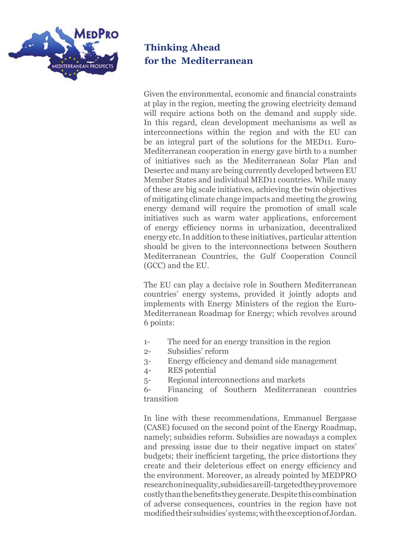

Given the environmental, economic and financial constraints at play in the region, meeting the growing electricity demand will require actions both on the demand and supply side. In this regard, clean development mechanisms as well as interconnections within the region and with the EU can be an integral part of the solutions for the MED11. Euro-Mediterranean cooperation in energy gave birth to a number of initiatives such as the Mediterranean Solar Plan and Desertec and many are being currently developed between EU Member States and individual MED11 countries. While many of these are big scale initiatives, achieving the twin objectives of mitigating climate change impacts and meeting the growing energy demand will require the promotion of small scale initiatives such as warm water applications, enforcement of energy efficiency norms in urbanization, decentralized energy etc. In addition to these initiatives, particular attention should be given to the interconnections between Southern Mediterranean Countries, the Gulf Cooperation Council (GCC) and the EU.

The EU can play a decisive role in Southern Mediterranean countries' energy systems, provided it jointly adopts and implements with Energy Ministers of the region the Euro-Mediterranean Roadmap for Energy; which revolves around 6 points:

- 1- The need for an energy transition in the region
- 2- Subsidies' reform
- 3- Energy efficiency and demand side management
- 4- RES potential
- 5- Regional interconnections and markets

6- Financing of Southern Mediterranean countries transition

In line with these recommendations, Emmanuel Bergasse (CASE) focused on the second point of the Energy Roadmap, namely; subsidies reform. Subsidies are nowadays a complex and pressing issue due to their negative impact on states' budgets; their inefficient targeting, the price distortions they create and their deleterious effect on energy efficiency and the environment. Moreover, as already pointed by MEDPRO research on inequality, subsidies are ill-targeted they prove more costly than the benefits they generate. Despite this combination of adverse consequences, countries in the region have not modified their subsidies' systems; with the exception of Jordan.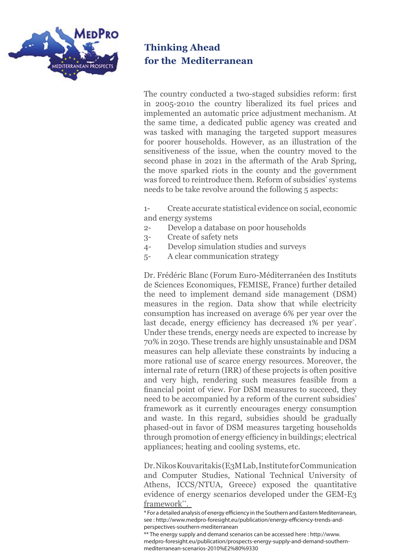

The country conducted a two-staged subsidies reform: first in 2005-2010 the country liberalized its fuel prices and implemented an automatic price adjustment mechanism. At the same time, a dedicated public agency was created and was tasked with managing the targeted support measures for poorer households. However, as an illustration of the sensitiveness of the issue, when the country moved to the second phase in 2021 in the aftermath of the Arab Spring, the move sparked riots in the county and the government was forced to reintroduce them. Reform of subsidies' systems needs to be take revolve around the following 5 aspects:

1- Create accurate statistical evidence on social, economic and energy systems

- 2- Develop a database on poor households
- 3- Create of safety nets
- 4- Develop simulation studies and surveys
- 5- A clear communication strategy

Dr. Frédéric Blanc (Forum Euro-Méditerranéen des Instituts de Sciences Economiques, FEMISE, France) further detailed the need to implement demand side management (DSM) measures in the region. Data show that while electricity consumption has increased on average 6% per year over the last decade, energy efficiency has decreased 1% per year\* . Under these trends, energy needs are expected to increase by 70% in 2030. These trends are highly unsustainable and DSM measures can help alleviate these constraints by inducing a more rational use of scarce energy resources. Moreover, the internal rate of return (IRR) of these projects is often positive and very high, rendering such measures feasible from a financial point of view. For DSM measures to succeed, they need to be accompanied by a reform of the current subsidies' framework as it currently encourages energy consumption and waste. In this regard, subsidies should be gradually phased-out in favor of DSM measures targeting households through promotion of energy efficiency in buildings; electrical appliances; heating and cooling systems, etc.

Dr. Nikos Kouvaritakis (E3M Lab, Institute for Communication and Computer Studies, National Technical University of Athens, ICCS/NTUA, Greece) exposed the quantitative evidence of energy scenarios developed under the GEM-E3 framework\*\*.

<sup>\*</sup> For a detailed analysis of energy efficiency in the Southern and Eastern Mediterranean, see : http://www.medpro-foresight.eu/publication/energy-efficiency-trends-andperspectives-southern-mediterranean

<sup>\*\*</sup> The energy supply and demand scenarios can be accessed here : http://www. medpro-foresight.eu/publication/prospects-energy-supply-and-demand-southernmediterranean-scenarios-2010%E2%80%9330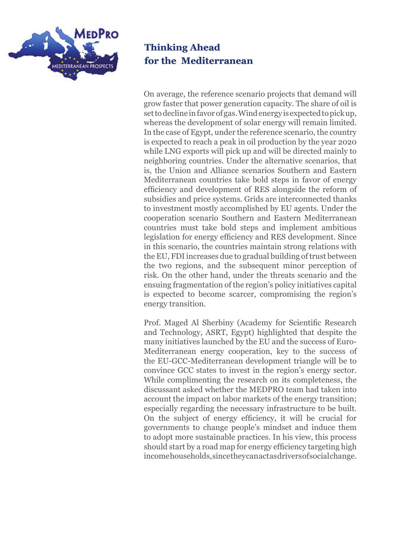

On average, the reference scenario projects that demand will grow faster that power generation capacity. The share of oil is set to decline in favor of gas. Wind energy is expected to pick up, whereas the development of solar energy will remain limited. In the case of Egypt, under the reference scenario, the country is expected to reach a peak in oil production by the year 2020 while LNG exports will pick up and will be directed mainly to neighboring countries. Under the alternative scenarios, that is, the Union and Alliance scenarios Southern and Eastern Mediterranean countries take bold steps in favor of energy efficiency and development of RES alongside the reform of subsidies and price systems. Grids are interconnected thanks to investment mostly accomplished by EU agents. Under the cooperation scenario Southern and Eastern Mediterranean countries must take bold steps and implement ambitious legislation for energy efficiency and RES development. Since in this scenario, the countries maintain strong relations with the EU, FDI increases due to gradual building of trust between the two regions, and the subsequent minor perception of risk. On the other hand, under the threats scenario and the ensuing fragmentation of the region's policy initiatives capital is expected to become scarcer, compromising the region's energy transition.

Prof. Maged Al Sherbiny (Academy for Scientific Research and Technology, ASRT, Egypt) highlighted that despite the many initiatives launched by the EU and the success of Euro-Mediterranean energy cooperation, key to the success of the EU-GCC-Mediterranean development triangle will be to convince GCC states to invest in the region's energy sector. While complimenting the research on its completeness, the discussant asked whether the MEDPRO team had taken into account the impact on labor markets of the energy transition; especially regarding the necessary infrastructure to be built. On the subject of energy efficiency, it will be crucial for governments to change people's mindset and induce them to adopt more sustainable practices. In his view, this process should start by a road map for energy efficiency targeting high income households, since they can act as drivers of social change.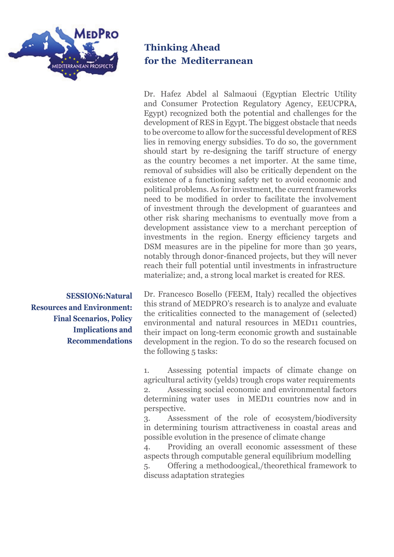

Dr. Hafez Abdel al Salmaoui (Egyptian Electric Utility and Consumer Protection Regulatory Agency, EEUCPRA, Egypt) recognized both the potential and challenges for the development of RES in Egypt. The biggest obstacle that needs to be overcome to allow for the successful development of RES lies in removing energy subsidies. To do so, the government should start by re-designing the tariff structure of energy as the country becomes a net importer. At the same time, removal of subsidies will also be critically dependent on the existence of a functioning safety net to avoid economic and political problems. As for investment, the current frameworks need to be modified in order to facilitate the involvement of investment through the development of guarantees and other risk sharing mechanisms to eventually move from a development assistance view to a merchant perception of investments in the region. Energy efficiency targets and DSM measures are in the pipeline for more than 30 years, notably through donor-financed projects, but they will never reach their full potential until investments in infrastructure materialize; and, a strong local market is created for RES.

**SESSION6:Natural Resources and Environment: Final Scenarios, Policy Implications and Recommendations**

Dr. Francesco Bosello (FEEM, Italy) recalled the objectives this strand of MEDPRO's research is to analyze and evaluate the criticalities connected to the management of (selected) environmental and natural resources in MED11 countries, their impact on long-term economic growth and sustainable development in the region. To do so the research focused on the following 5 tasks:

1. Assessing potential impacts of climate change on agricultural activity (yelds) trough crops water requirements 2. Assessing social economic and environmental factors

determining water uses in MED11 countries now and in perspective.

3. Assessment of the role of ecosystem/biodiversity in determining tourism attractiveness in coastal areas and possible evolution in the presence of climate change

4. Providing an overall economic assessment of these aspects through computable general equilibrium modelling

5. Offering a methodoogical,/theorethical framework to discuss adaptation strategies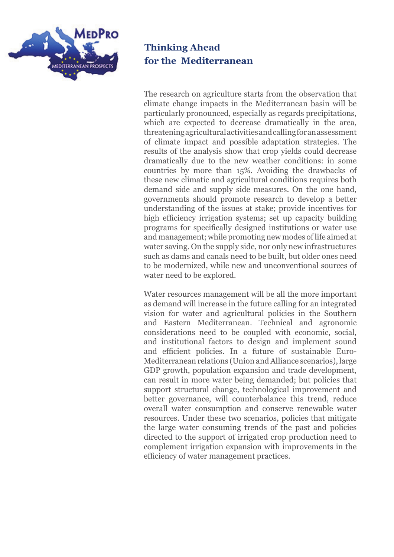

The research on agriculture starts from the observation that climate change impacts in the Mediterranean basin will be particularly pronounced, especially as regards precipitations, which are expected to decrease dramatically in the area, threatening agricultural activities and calling for an assessment of climate impact and possible adaptation strategies. The results of the analysis show that crop yields could decrease dramatically due to the new weather conditions: in some countries by more than 15%. Avoiding the drawbacks of these new climatic and agricultural conditions requires both demand side and supply side measures. On the one hand, governments should promote research to develop a better understanding of the issues at stake; provide incentives for high efficiency irrigation systems; set up capacity building programs for specifically designed institutions or water use and management; while promoting new modes of life aimed at water saving. On the supply side, nor only new infrastructures such as dams and canals need to be built, but older ones need to be modernized, while new and unconventional sources of water need to be explored.

Water resources management will be all the more important as demand will increase in the future calling for an integrated vision for water and agricultural policies in the Southern and Eastern Mediterranean. Technical and agronomic considerations need to be coupled with economic, social, and institutional factors to design and implement sound and efficient policies. In a future of sustainable Euro-Mediterranean relations (Union and Alliance scenarios), large GDP growth, population expansion and trade development, can result in more water being demanded; but policies that support structural change, technological improvement and better governance, will counterbalance this trend, reduce overall water consumption and conserve renewable water resources. Under these two scenarios, policies that mitigate the large water consuming trends of the past and policies directed to the support of irrigated crop production need to complement irrigation expansion with improvements in the efficiency of water management practices.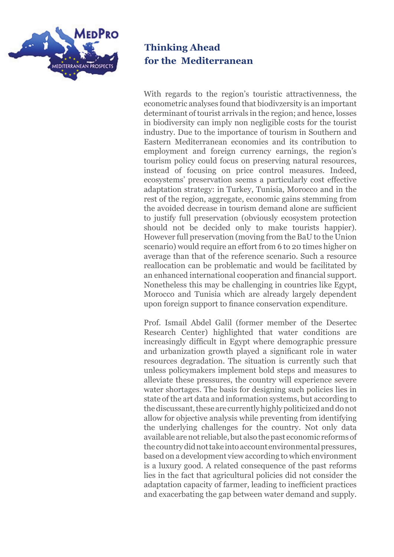

With regards to the region's touristic attractivenness, the econometric analyses found that biodivzersity is an important determinant of tourist arrivals in the region; and hence, losses in biodiversity can imply non negligible costs for the tourist industry. Due to the importance of tourism in Southern and Eastern Mediterranean economies and its contribution to employment and foreign currency earnings, the region's tourism policy could focus on preserving natural resources, instead of focusing on price control measures. Indeed, ecosystems' preservation seems a particularly cost effective adaptation strategy: in Turkey, Tunisia, Morocco and in the rest of the region, aggregate, economic gains stemming from the avoided decrease in tourism demand alone are sufficient to justify full preservation (obviously ecosystem protection should not be decided only to make tourists happier). However full preservation (moving from the BaU to the Union scenario) would require an effort from 6 to 20 times higher on average than that of the reference scenario. Such a resource reallocation can be problematic and would be facilitated by an enhanced international cooperation and financial support. Nonetheless this may be challenging in countries like Egypt, Morocco and Tunisia which are already largely dependent upon foreign support to finance conservation expenditure.

Prof. Ismail Abdel Galil (former member of the Desertec Research Center) highlighted that water conditions are increasingly difficult in Egypt where demographic pressure and urbanization growth played a significant role in water resources degradation. The situation is currently such that unless policymakers implement bold steps and measures to alleviate these pressures, the country will experience severe water shortages. The basis for designing such policies lies in state of the art data and information systems, but according to the discussant, these are currently highly politicized and do not allow for objective analysis while preventing from identifying the underlying challenges for the country. Not only data available are not reliable, but also the past economic reforms of the country did not take into account environmental pressures, based on a development view according to which environment is a luxury good. A related consequence of the past reforms lies in the fact that agricultural policies did not consider the adaptation capacity of farmer, leading to inefficient practices and exacerbating the gap between water demand and supply.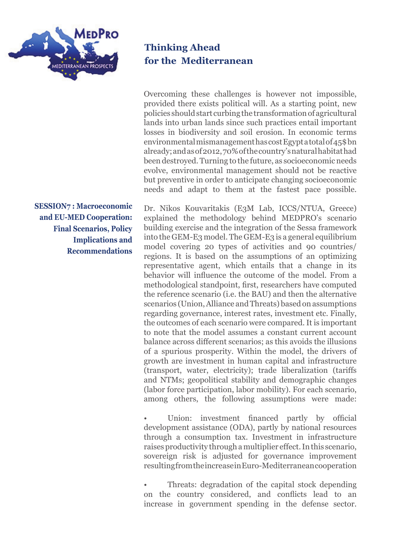

**SESSION7 : Macroeconomic and EU-MED Cooperation: Final Scenarios, Policy Implications and Recommendations**

#### **Thinking Ahead for the Mediterranean**

Overcoming these challenges is however not impossible, provided there exists political will. As a starting point, new policies should start curbing the transformation of agricultural lands into urban lands since such practices entail important losses in biodiversity and soil erosion. In economic terms environmental mismanagement has cost Egypt a total of 45\$ bn already; and as of 2012, 70% of the country's natural habitat had been destroyed. Turning to the future, as socioeconomic needs evolve, environmental management should not be reactive but preventive in order to anticipate changing socioeconomic needs and adapt to them at the fastest pace possible.

Dr. Nikos Kouvaritakis (E3M Lab, ICCS/NTUA, Greece) explained the methodology behind MEDPRO's scenario building exercise and the integration of the Sessa framework into the GEM-E3 model. The GEM-E3 is a general equilibrium model covering 20 types of activities and 90 countries/ regions. It is based on the assumptions of an optimizing representative agent, which entails that a change in its behavior will influence the outcome of the model. From a methodological standpoint, first, researchers have computed the reference scenario (i.e. the BAU) and then the alternative scenarios (Union, Alliance and Threats) based on assumptions regarding governance, interest rates, investment etc. Finally, the outcomes of each scenario were compared. It is important to note that the model assumes a constant current account balance across different scenarios; as this avoids the illusions of a spurious prosperity. Within the model, the drivers of growth are investment in human capital and infrastructure (transport, water, electricity); trade liberalization (tariffs and NTMs; geopolitical stability and demographic changes (labor force participation, labor mobility). For each scenario, among others, the following assumptions were made:

Union: investment financed partly by official development assistance (ODA), partly by national resources through a consumption tax. Investment in infrastructure raises productivity through a multiplier effect. In this scenario, sovereign risk is adjusted for governance improvement resulting from the increase in Euro-Mediterranean cooperation

• Threats: degradation of the capital stock depending on the country considered, and conflicts lead to an increase in government spending in the defense sector.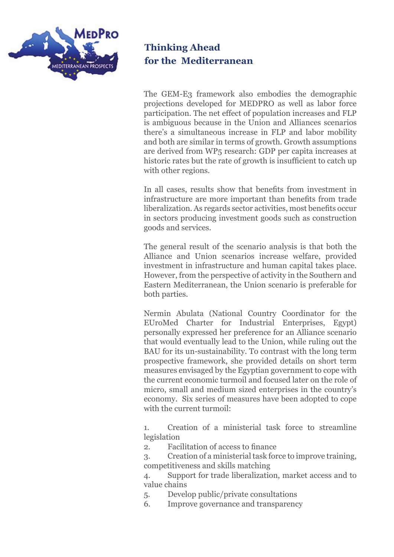

The GEM-E3 framework also embodies the demographic projections developed for MEDPRO as well as labor force participation. The net effect of population increases and FLP is ambiguous because in the Union and Alliances scenarios there's a simultaneous increase in FLP and labor mobility and both are similar in terms of growth. Growth assumptions are derived from WP5 research: GDP per capita increases at historic rates but the rate of growth is insufficient to catch up with other regions.

In all cases, results show that benefits from investment in infrastructure are more important than benefits from trade liberalization. As regards sector activities, most benefits occur in sectors producing investment goods such as construction goods and services.

The general result of the scenario analysis is that both the Alliance and Union scenarios increase welfare, provided investment in infrastructure and human capital takes place. However, from the perspective of activity in the Southern and Eastern Mediterranean, the Union scenario is preferable for both parties.

Nermin Abulata (National Country Coordinator for the EUroMed Charter for Industrial Enterprises, Egypt) personally expressed her preference for an Alliance scenario that would eventually lead to the Union, while ruling out the BAU for its un-sustainability. To contrast with the long term prospective framework, she provided details on short term measures envisaged by the Egyptian government to cope with the current economic turmoil and focused later on the role of micro, small and medium sized enterprises in the country's economy. Six series of measures have been adopted to cope with the current turmoil:

1. Creation of a ministerial task force to streamline legislation

2. Facilitation of access to finance

3. Creation of a ministerial task force to improve training, competitiveness and skills matching

4. Support for trade liberalization, market access and to value chains

- 5. Develop public/private consultations
- 6. Improve governance and transparency